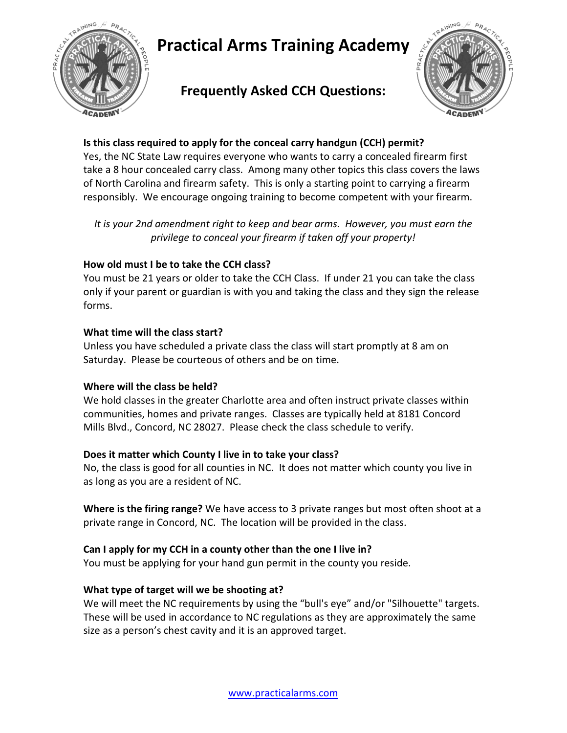

## **Frequently Asked CCH Questions:**



#### **Is this class required to apply for the conceal carry handgun (CCH) permit?**

Yes, the NC State Law requires everyone who wants to carry a concealed firearm first take a 8 hour concealed carry class. Among many other topics this class covers the laws of North Carolina and firearm safety. This is only a starting point to carrying a firearm responsibly. We encourage ongoing training to become competent with your firearm.

*It is your 2nd amendment right to keep and bear arms. However, you must earn the privilege to conceal your firearm if taken off your property!* 

#### **How old must I be to take the CCH class?**

You must be 21 years or older to take the CCH Class. If under 21 you can take the class only if your parent or guardian is with you and taking the class and they sign the release forms.

#### **What time will the class start?**

Unless you have scheduled a private class the class will start promptly at 8 am on Saturday. Please be courteous of others and be on time.

#### **Where will the class be held?**

We hold classes in the greater Charlotte area and often instruct private classes within communities, homes and private ranges. Classes are typically held at 8181 Concord Mills Blvd., Concord, NC 28027. Please check the class schedule to verify.

#### **Does it matter which County I live in to take your class?**

No, the class is good for all counties in NC. It does not matter which county you live in as long as you are a resident of NC.

**Where is the firing range?** We have access to 3 private ranges but most often shoot at a private range in Concord, NC. The location will be provided in the class.

#### **Can I apply for my CCH in a county other than the one I live in?**

You must be applying for your hand gun permit in the county you reside.

#### **What type of target will we be shooting at?**

We will meet the NC requirements by using the "bull's eye" and/or "Silhouette" targets. These will be used in accordance to NC regulations as they are approximately the same size as a person's chest cavity and it is an approved target.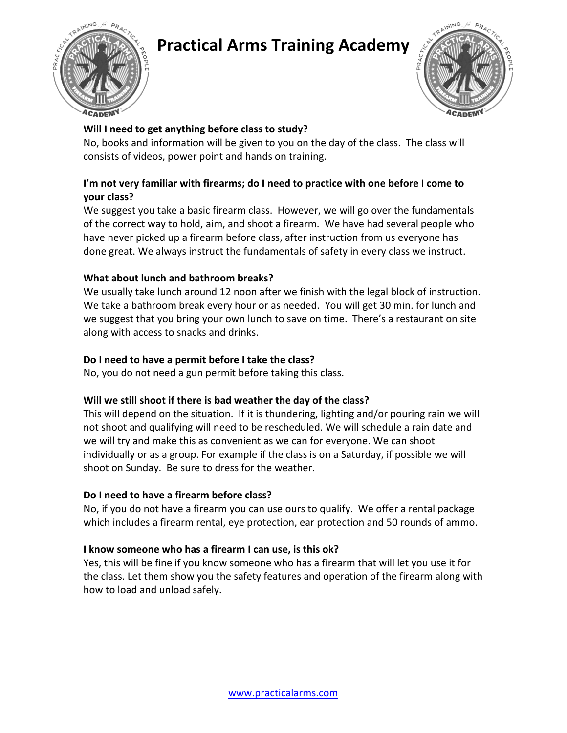





#### **Will I need to get anything before class to study?**

No, books and information will be given to you on the day of the class. The class will consists of videos, power point and hands on training.

#### **I'm not very familiar with firearms; do I need to practice with one before I come to your class?**

We suggest you take a basic firearm class. However, we will go over the fundamentals of the correct way to hold, aim, and shoot a firearm. We have had several people who have never picked up a firearm before class, after instruction from us everyone has done great. We always instruct the fundamentals of safety in every class we instruct.

#### **What about lunch and bathroom breaks?**

We usually take lunch around 12 noon after we finish with the legal block of instruction. We take a bathroom break every hour or as needed. You will get 30 min. for lunch and we suggest that you bring your own lunch to save on time. There's a restaurant on site along with access to snacks and drinks.

#### **Do I need to have a permit before I take the class?**

No, you do not need a gun permit before taking this class.

#### **Will we still shoot if there is bad weather the day of the class?**

This will depend on the situation. If it is thundering, lighting and/or pouring rain we will not shoot and qualifying will need to be rescheduled. We will schedule a rain date and we will try and make this as convenient as we can for everyone. We can shoot individually or as a group. For example if the class is on a Saturday, if possible we will shoot on Sunday. Be sure to dress for the weather.

#### **Do I need to have a firearm before class?**

No, if you do not have a firearm you can use ours to qualify. We offer a rental package which includes a firearm rental, eye protection, ear protection and 50 rounds of ammo.

#### **I know someone who has a firearm I can use, is this ok?**

Yes, this will be fine if you know someone who has a firearm that will let you use it for the class. Let them show you the safety features and operation of the firearm along with how to load and unload safely.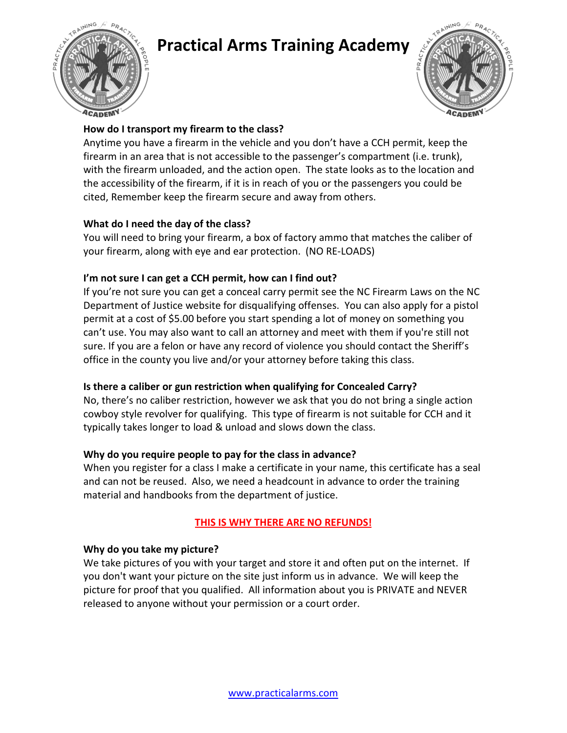



#### **How do I transport my firearm to the class?**

Anytime you have a firearm in the vehicle and you don't have a CCH permit, keep the firearm in an area that is not accessible to the passenger's compartment (i.e. trunk), with the firearm unloaded, and the action open. The state looks as to the location and the accessibility of the firearm, if it is in reach of you or the passengers you could be cited, Remember keep the firearm secure and away from others.

#### **What do I need the day of the class?**

You will need to bring your firearm, a box of factory ammo that matches the caliber of your firearm, along with eye and ear protection. (NO RE-LOADS)

#### **I'm not sure I can get a CCH permit, how can I find out?**

If you're not sure you can get a conceal carry permit see the NC Firearm Laws on the NC Department of Justice website for disqualifying offenses. You can also apply for a pistol permit at a cost of \$5.00 before you start spending a lot of money on something you can't use. You may also want to call an attorney and meet with them if you're still not sure. If you are a felon or have any record of violence you should contact the Sheriff's office in the county you live and/or your attorney before taking this class.

### **Is there a caliber or gun restriction when qualifying for Concealed Carry?**

No, there's no caliber restriction, however we ask that you do not bring a single action cowboy style revolver for qualifying. This type of firearm is not suitable for CCH and it typically takes longer to load & unload and slows down the class.

#### **Why do you require people to pay for the class in advance?**

When you register for a class I make a certificate in your name, this certificate has a seal and can not be reused. Also, we need a headcount in advance to order the training material and handbooks from the department of justice.

### **THIS IS WHY THERE ARE NO REFUNDS!**

#### **Why do you take my picture?**

We take pictures of you with your target and store it and often put on the internet. If you don't want your picture on the site just inform us in advance. We will keep the picture for proof that you qualified. All information about you is PRIVATE and NEVER released to anyone without your permission or a court order.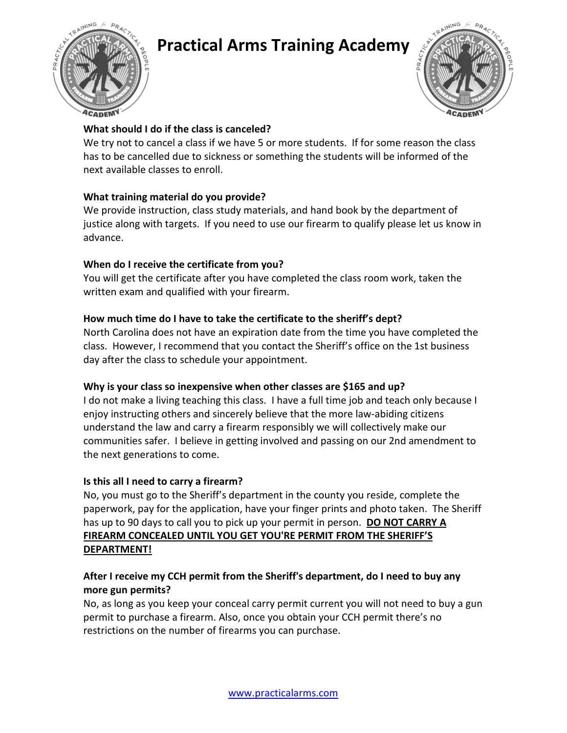





#### **What should I do if the class is canceled?**

We try not to cancel a class if we have 5 or more students. If for some reason the class has to be cancelled due to sickness or something the students will be informed of the next available classes to enroll.

#### **What training material do you provide?**

We provide instruction, class study materials, and hand book by the department of justice along with targets. If you need to use our firearm to qualify please let us know in advance.

#### **When do I receive the certificate from you?**

You will get the certificate after you have completed the class room work, taken the written exam and qualified with your firearm.

#### **How much time do I have to take the certificate to the sheriff's dept?**

North Carolina does not have an expiration date from the time you have completed the class. However, I recommend that you contact the Sheriff's office on the 1st business day after the class to schedule your appointment.

#### **Why is your class so inexpensive when other classes are \$165 and up?**

I do not make a living teaching this class. I have a full time job and teach only because I enjoy instructing others and sincerely believe that the more law-abiding citizens understand the law and carry a firearm responsibly we will collectively make our communities safer. I believe in getting involved and passing on our 2nd amendment to the next generations to come.

#### **Is this all I need to carry a firearm?**

No, you must go to the Sheriff's department in the county you reside, complete the paperwork, pay for the application, have your finger prints and photo taken. The Sheriff has up to 90 days to call you to pick up your permit in person. **DO NOT CARRY A FIREARM CONCEALED UNTIL YOU GET YOU'RE PERMIT FROM THE SHERIFF'S DEPARTMENT!**

#### **After I receive my CCH permit from the Sheriff's department, do I need to buy any more gun permits?**

No, as long as you keep your conceal carry permit current you will not need to buy a gun permit to purchase a firearm. Also, once you obtain your CCH permit there's no restrictions on the number of firearms you can purchase.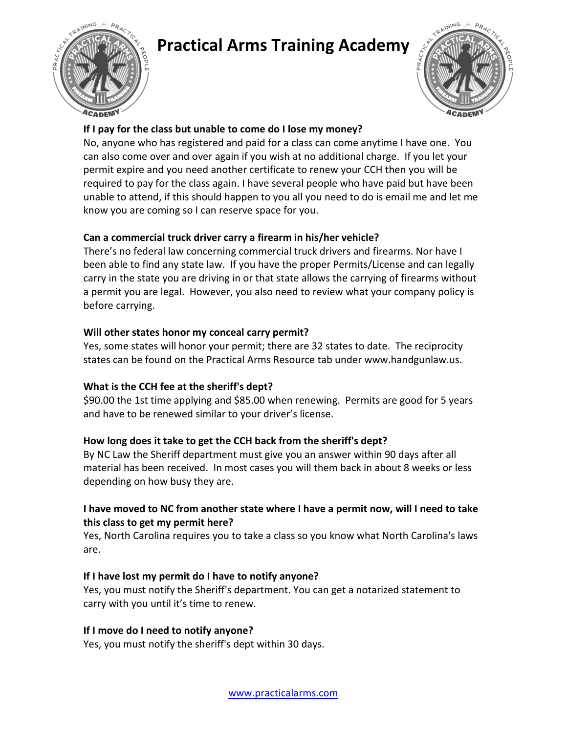



#### **If I pay for the class but unable to come do I lose my money?**

No, anyone who has registered and paid for a class can come anytime I have one. You can also come over and over again if you wish at no additional charge. If you let your permit expire and you need another certificate to renew your CCH then you will be required to pay for the class again. I have several people who have paid but have been unable to attend, if this should happen to you all you need to do is email me and let me know you are coming so I can reserve space for you.

#### **Can a commercial truck driver carry a firearm in his/her vehicle?**

There's no federal law concerning commercial truck drivers and firearms. Nor have I been able to find any state law. If you have the proper Permits/License and can legally carry in the state you are driving in or that state allows the carrying of firearms without a permit you are legal. However, you also need to review what your company policy is before carrying.

#### **Will other states honor my conceal carry permit?**

Yes, some states will honor your permit; there are 32 states to date. The reciprocity states can be found on the Practical Arms Resource tab under www.handgunlaw.us.

### **What is the CCH fee at the sheriff's dept?**

\$90.00 the 1st time applying and \$85.00 when renewing. Permits are good for 5 years and have to be renewed similar to your driver's license.

#### **How long does it take to get the CCH back from the sheriff's dept?**

By NC Law the Sheriff department must give you an answer within 90 days after all material has been received. In most cases you will them back in about 8 weeks or less depending on how busy they are.

#### **I have moved to NC from another state where I have a permit now, will I need to take this class to get my permit here?**

Yes, North Carolina requires you to take a class so you know what North Carolina's laws are.

#### **If I have lost my permit do I have to notify anyone?**

Yes, you must notify the Sheriff's department. You can get a notarized statement to carry with you until it's time to renew.

#### **If I move do I need to notify anyone?**

Yes, you must notify the sheriff's dept within 30 days.